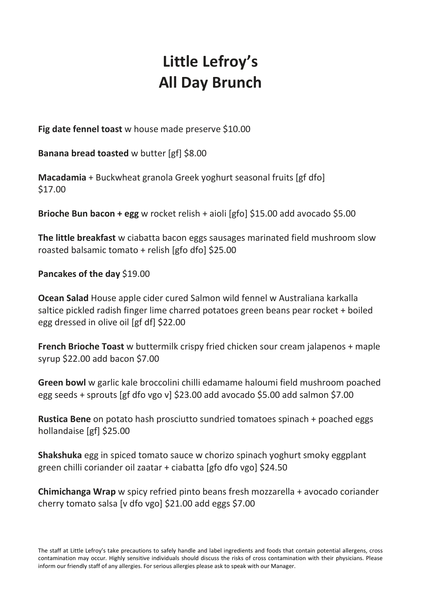## Little Lefroy's All Day Brunch

Fig date fennel toast w house made preserve \$10.00

Banana bread toasted w butter [gf] \$8.00

Macadamia + Buckwheat granola Greek yoghurt seasonal fruits [gf dfo] \$17.00

Brioche Bun bacon + egg w rocket relish + aioli [gfo] \$15.00 add avocado \$5.00

The little breakfast w ciabatta bacon eggs sausages marinated field mushroom slow roasted balsamic tomato + relish [gfo dfo] \$25.00

Pancakes of the day \$19.00

Ocean Salad House apple cider cured Salmon wild fennel w Australiana karkalla saltice pickled radish finger lime charred potatoes green beans pear rocket + boiled egg dressed in olive oil [gf df] \$22.00

French Brioche Toast w buttermilk crispy fried chicken sour cream jalapenos + maple syrup \$22.00 add bacon \$7.00

Green bowl w garlic kale broccolini chilli edamame haloumi field mushroom poached egg seeds + sprouts [gf dfo vgo v] \$23.00 add avocado \$5.00 add salmon \$7.00

Rustica Bene on potato hash prosciutto sundried tomatoes spinach + poached eggs hollandaise [gf] \$25.00

Shakshuka egg in spiced tomato sauce w chorizo spinach yoghurt smoky eggplant green chilli coriander oil zaatar + ciabatta [gfo dfo vgo] \$24.50

Chimichanga Wrap w spicy refried pinto beans fresh mozzarella + avocado coriander cherry tomato salsa [v dfo vgo] \$21.00 add eggs \$7.00

The staff at Little Lefroy's take precautions to safely handle and label ingredients and foods that contain potential allergens, cross contamination may occur. Highly sensitive individuals should discuss the risks of cross contamination with their physicians. Please inform our friendly staff of any allergies. For serious allergies please ask to speak with our Manager.